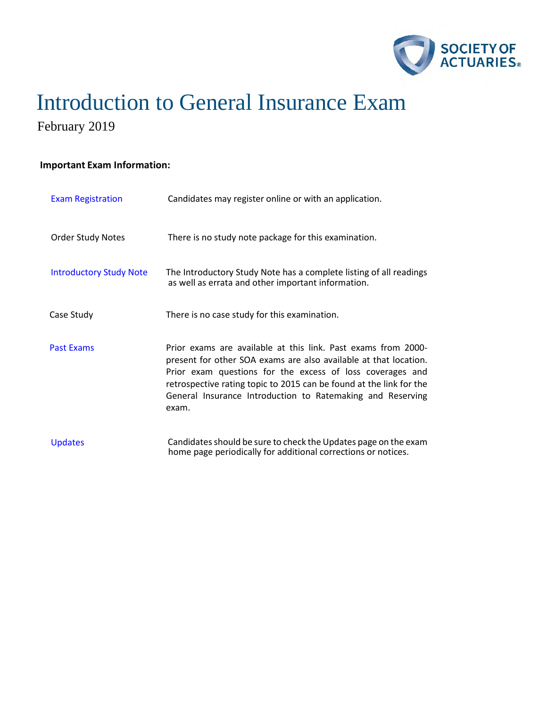

# Introduction to General Insurance Exam

February 2019

### **Important Exam Information:**

| <b>Exam Registration</b>       | Candidates may register online or with an application.                                                                                                                                                                                                                                                                                       |
|--------------------------------|----------------------------------------------------------------------------------------------------------------------------------------------------------------------------------------------------------------------------------------------------------------------------------------------------------------------------------------------|
| <b>Order Study Notes</b>       | There is no study note package for this examination.                                                                                                                                                                                                                                                                                         |
| <b>Introductory Study Note</b> | The Introductory Study Note has a complete listing of all readings<br>as well as errata and other important information.                                                                                                                                                                                                                     |
| Case Study                     | There is no case study for this examination.                                                                                                                                                                                                                                                                                                 |
| <b>Past Exams</b>              | Prior exams are available at this link. Past exams from 2000-<br>present for other SOA exams are also available at that location.<br>Prior exam questions for the excess of loss coverages and<br>retrospective rating topic to 2015 can be found at the link for the<br>General Insurance Introduction to Ratemaking and Reserving<br>exam. |
| <b>Updates</b>                 | Candidates should be sure to check the Updates page on the exam<br>home page periodically for additional corrections or notices.                                                                                                                                                                                                             |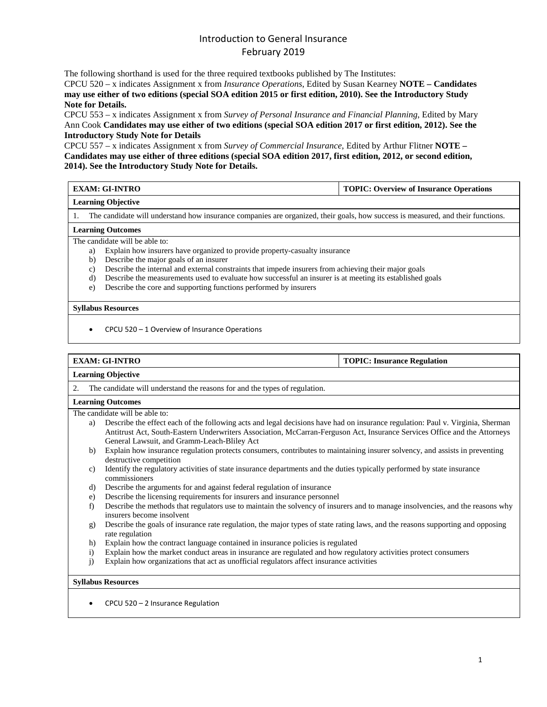The following shorthand is used for the three required textbooks published by The Institutes:

CPCU 520 – x indicates Assignment x from *Insurance Operations*, Edited by Susan Kearney **NOTE – Candidates may use either of two editions (special SOA edition 2015 or first edition, 2010). See the Introductory Study Note for Details.**

CPCU 553 – x indicates Assignment x from *Survey of Personal Insurance and Financial Planning*, Edited by Mary Ann Cook **Candidates may use either of two editions (special SOA edition 2017 or first edition, 2012). See the Introductory Study Note for Details**

CPCU 557 – x indicates Assignment x from *Survey of Commercial Insurance*, Edited by Arthur Flitner **NOTE – Candidates may use either of three editions (special SOA edition 2017, first edition, 2012, or second edition, 2014). See the Introductory Study Note for Details.** 

| EXAM: GI-INTRO            | TOPIC: Overview of Insurance Operations |
|---------------------------|-----------------------------------------|
| <b>Learning Objective</b> |                                         |

1. The candidate will understand how insurance companies are organized, their goals, how success is measured, and their functions.

#### **Learning Outcomes**

The candidate will be able to:

- a) Explain how insurers have organized to provide property-casualty insurance
- b) Describe the major goals of an insurer
- c) Describe the internal and external constraints that impede insurers from achieving their major goals
- d) Describe the measurements used to evaluate how successful an insurer is at meeting its established goals
- e) Describe the core and supporting functions performed by insurers

#### **Syllabus Resources**

• CPCU 520 – 1 Overview of Insurance Operations

#### **EXAM: GI-INTRO TOPIC: Insurance Regulation**

#### **Learning Objective**

2. The candidate will understand the reasons for and the types of regulation.

#### **Learning Outcomes**

The candidate will be able to:

- a) Describe the effect each of the following acts and legal decisions have had on insurance regulation: Paul v. Virginia, Sherman Antitrust Act, South-Eastern Underwriters Association, McCarran-Ferguson Act, Insurance Services Office and the Attorneys General Lawsuit, and Gramm-Leach-Bliley Act
- b) Explain how insurance regulation protects consumers, contributes to maintaining insurer solvency, and assists in preventing destructive competition
- c) Identify the regulatory activities of state insurance departments and the duties typically performed by state insurance commissioners
- d) Describe the arguments for and against federal regulation of insurance
- e) Describe the licensing requirements for insurers and insurance personnel
- f) Describe the methods that regulators use to maintain the solvency of insurers and to manage insolvencies, and the reasons why insurers become insolvent
- g) Describe the goals of insurance rate regulation, the major types of state rating laws, and the reasons supporting and opposing rate regulation
- h) Explain how the contract language contained in insurance policies is regulated
- i) Explain how the market conduct areas in insurance are regulated and how regulatory activities protect consumers
- j) Explain how organizations that act as unofficial regulators affect insurance activities

#### **Syllabus Resources**

• CPCU 520 – 2 Insurance Regulation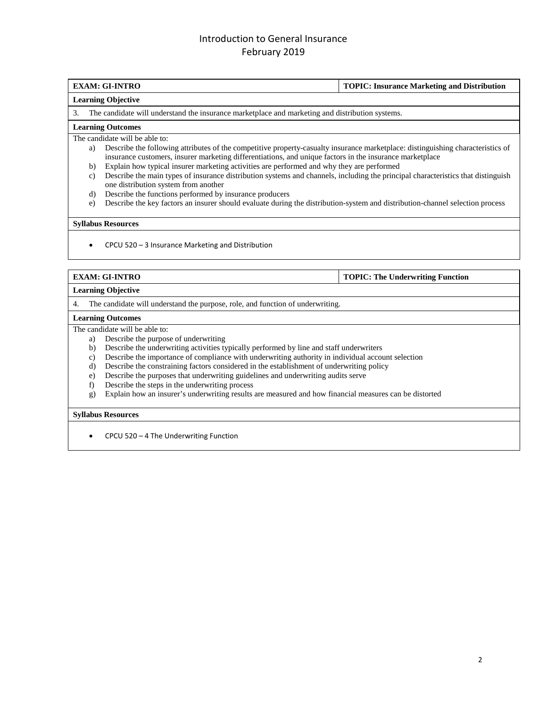### **EXAM: GI-INTRO TOPIC: Insurance Marketing and Distribution**

#### **Learning Objective**

3. The candidate will understand the insurance marketplace and marketing and distribution systems.

#### **Learning Outcomes**

The candidate will be able to:

- a) Describe the following attributes of the competitive property-casualty insurance marketplace: distinguishing characteristics of insurance customers, insurer marketing differentiations, and unique factors in the insurance marketplace
- b) Explain how typical insurer marketing activities are performed and why they are performed
- c) Describe the main types of insurance distribution systems and channels, including the principal characteristics that distinguish one distribution system from another
- d) Describe the functions performed by insurance producers
- e) Describe the key factors an insurer should evaluate during the distribution-system and distribution-channel selection process

#### **Syllabus Resources**

• CPCU 520 – 3 Insurance Marketing and Distribution

### **EXAM: GI-INTRO TOPIC: The Underwriting Function**

#### **Learning Objective**

4. The candidate will understand the purpose, role, and function of underwriting.

#### **Learning Outcomes**

The candidate will be able to:

- a) Describe the purpose of underwriting
- b) Describe the underwriting activities typically performed by line and staff underwriters
- c) Describe the importance of compliance with underwriting authority in individual account selection d) Describe the constraining factors considered in the establishment of underwriting policy
- Describe the constraining factors considered in the establishment of underwriting policy
- e) Describe the purposes that underwriting guidelines and underwriting audits serve
- f) Describe the steps in the underwriting process
- g) Explain how an insurer's underwriting results are measured and how financial measures can be distorted

#### **Syllabus Resources**

• CPCU 520 – 4 The Underwriting Function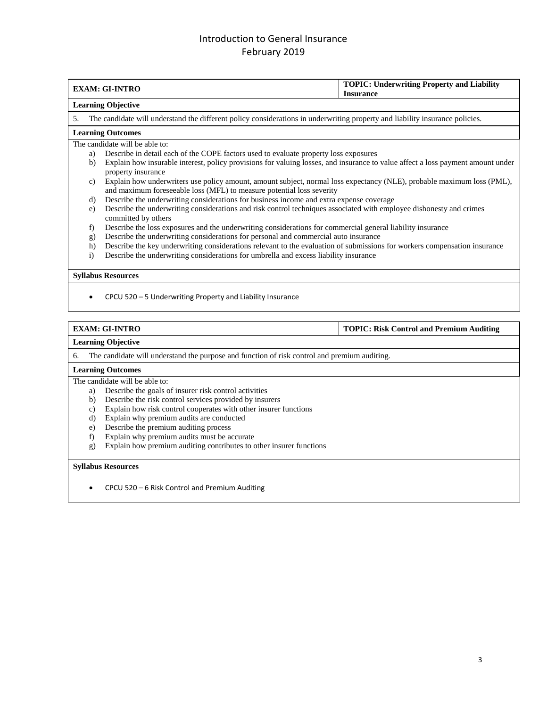|                 | <b>EXAM: GI-INTRO</b>                                                                                                                                                                           | <b>TOPIC: Underwriting Property and Liability</b><br><b>Insurance</b> |  |
|-----------------|-------------------------------------------------------------------------------------------------------------------------------------------------------------------------------------------------|-----------------------------------------------------------------------|--|
|                 | <b>Learning Objective</b>                                                                                                                                                                       |                                                                       |  |
| 5.              | The candidate will understand the different policy considerations in underwriting property and liability insurance policies.                                                                    |                                                                       |  |
|                 | <b>Learning Outcomes</b>                                                                                                                                                                        |                                                                       |  |
|                 | The candidate will be able to:                                                                                                                                                                  |                                                                       |  |
| a)              | Describe in detail each of the COPE factors used to evaluate property loss exposures                                                                                                            |                                                                       |  |
| $\mathbf{b}$    | Explain how insurable interest, policy provisions for valuing losses, and insurance to value affect a loss payment amount under                                                                 |                                                                       |  |
|                 | property insurance                                                                                                                                                                              |                                                                       |  |
| $\mathcal{C}$ ) | Explain how underwriters use policy amount, amount subject, normal loss expectancy (NLE), probable maximum loss (PML),<br>and maximum foreseeable loss (MFL) to measure potential loss severity |                                                                       |  |
| d)              | Describe the underwriting considerations for business income and extra expense coverage                                                                                                         |                                                                       |  |
| e)              | Describe the underwriting considerations and risk control techniques associated with employee dishonesty and crimes<br>committed by others                                                      |                                                                       |  |
| f)              | Describe the loss exposures and the underwriting considerations for commercial general liability insurance                                                                                      |                                                                       |  |
| g)              | Describe the underwriting considerations for personal and commercial auto insurance                                                                                                             |                                                                       |  |
| h)              | Describe the key underwriting considerations relevant to the evaluation of submissions for workers compensation insurance                                                                       |                                                                       |  |
| $\overline{1}$  | Describe the underwriting considerations for umbrella and excess liability insurance                                                                                                            |                                                                       |  |
|                 |                                                                                                                                                                                                 |                                                                       |  |
|                 | <b>Syllabus Resources</b>                                                                                                                                                                       |                                                                       |  |

• CPCU 520 – 5 Underwriting Property and Liability Insurance

**EXAM: GI-INTRO TOPIC: Risk Control and Premium Auditing**

### **Learning Objective**

6. The candidate will understand the purpose and function of risk control and premium auditing.

#### **Learning Outcomes**

The candidate will be able to:

- a) Describe the goals of insurer risk control activities
- b) Describe the risk control services provided by insurers
- c) Explain how risk control cooperates with other insurer functions
- 
- d) Explain why premium audits are conducted<br>e) Describe the premium auditing process
- e) Describe the premium auditing process<br>f) Explain why premium audits must be a Explain why premium audits must be accurate
- g) Explain how premium auditing contributes to other insurer functions

#### **Syllabus Resources**

• CPCU 520 – 6 Risk Control and Premium Auditing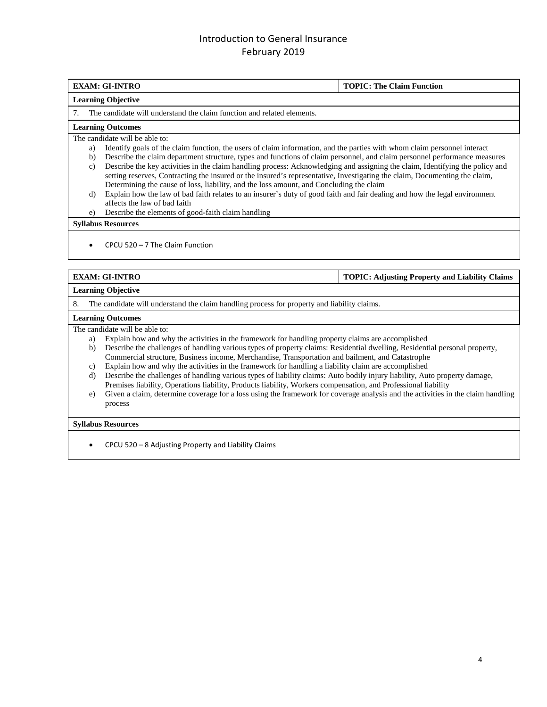#### **EXAM: GI-INTRO TOPIC: The Claim Function**

#### **Learning Objective**

7. The candidate will understand the claim function and related elements.

#### **Learning Outcomes**

The candidate will be able to:

- a) Identify goals of the claim function, the users of claim information, and the parties with whom claim personnel interact
- b) Describe the claim department structure, types and functions of claim personnel, and claim personnel performance measures c) Describe the key activities in the claim handling process: Acknowledging and assigning the claim, Identifying the policy and setting reserves, Contracting the insured or the insured's representative, Investigating the claim, Documenting the claim, Determining the cause of loss, liability, and the loss amount, and Concluding the claim
- d) Explain how the law of bad faith relates to an insurer's duty of good faith and fair dealing and how the legal environment affects the law of bad faith
- e) Describe the elements of good-faith claim handling

#### **Syllabus Resources**

• CPCU 520 – 7 The Claim Function

**EXAM: GI-INTRO TOPIC: Adjusting Property and Liability Claims**

#### **Learning Objective**

8. The candidate will understand the claim handling process for property and liability claims.

#### **Learning Outcomes**

The candidate will be able to:

- a) Explain how and why the activities in the framework for handling property claims are accomplished
- b) Describe the challenges of handling various types of property claims: Residential dwelling, Residential personal property, Commercial structure, Business income, Merchandise, Transportation and bailment, and Catastrophe
- c) Explain how and why the activities in the framework for handling a liability claim are accomplished
- d) Describe the challenges of handling various types of liability claims: Auto bodily injury liability, Auto property damage, Premises liability, Operations liability, Products liability, Workers compensation, and Professional liability
- e) Given a claim, determine coverage for a loss using the framework for coverage analysis and the activities in the claim handling process

#### **Syllabus Resources**

• CPCU 520 – 8 Adjusting Property and Liability Claims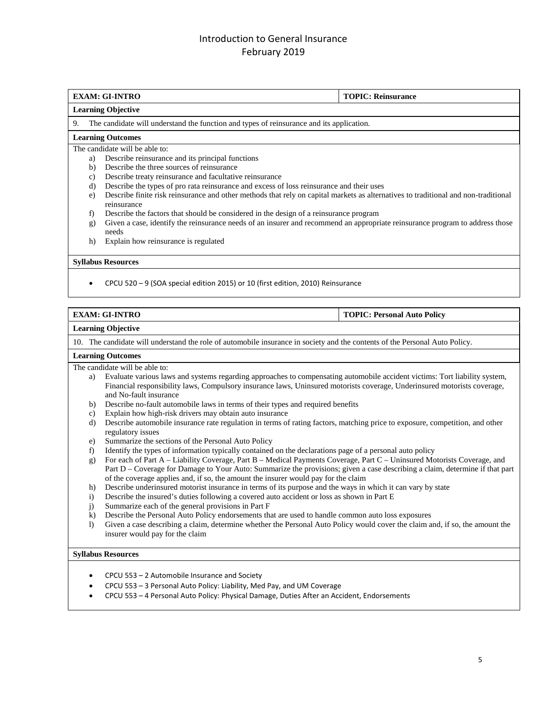#### **EXAM: GI-INTRO TOPIC: Reinsurance**

#### **Learning Objective**

9. The candidate will understand the function and types of reinsurance and its application.

#### **Learning Outcomes**

The candidate will be able to:

- a) Describe reinsurance and its principal functions
- b) Describe the three sources of reinsurance
- c) Describe treaty reinsurance and facultative reinsurance
- d) Describe the types of pro rata reinsurance and excess of loss reinsurance and their uses
- e) Describe finite risk reinsurance and other methods that rely on capital markets as alternatives to traditional and non-traditional reinsurance
- f) Describe the factors that should be considered in the design of a reinsurance program
- g) Given a case, identify the reinsurance needs of an insurer and recommend an appropriate reinsurance program to address those needs
- h) Explain how reinsurance is regulated

#### **Syllabus Resources**

• CPCU 520 – 9 (SOA special edition 2015) or 10 (first edition, 2010) Reinsurance

| EXAM: GI-INTRO | <b>TOPIC: Personal Auto Policy</b> |
|----------------|------------------------------------|

#### **Learning Objective**

10. The candidate will understand the role of automobile insurance in society and the contents of the Personal Auto Policy.

#### **Learning Outcomes**

The candidate will be able to:

- a) Evaluate various laws and systems regarding approaches to compensating automobile accident victims: Tort liability system, Financial responsibility laws, Compulsory insurance laws, Uninsured motorists coverage, Underinsured motorists coverage, and No-fault insurance
- b) Describe no-fault automobile laws in terms of their types and required benefits
- c) Explain how high-risk drivers may obtain auto insurance
- d) Describe automobile insurance rate regulation in terms of rating factors, matching price to exposure, competition, and other regulatory issues
- e) Summarize the sections of the Personal Auto Policy
- f) Identify the types of information typically contained on the declarations page of a personal auto policy
- g) For each of Part A Liability Coverage, Part B Medical Payments Coverage, Part C Uninsured Motorists Coverage, and Part D – Coverage for Damage to Your Auto: Summarize the provisions; given a case describing a claim, determine if that part of the coverage applies and, if so, the amount the insurer would pay for the claim
- h) Describe underinsured motorist insurance in terms of its purpose and the ways in which it can vary by state
- i) Describe the insured's duties following a covered auto accident or loss as shown in Part E
- j) Summarize each of the general provisions in Part F
- k) Describe the Personal Auto Policy endorsements that are used to handle common auto loss exposures
- l) Given a case describing a claim, determine whether the Personal Auto Policy would cover the claim and, if so, the amount the insurer would pay for the claim

### **Syllabus Resources**

- CPCU 553 2 Automobile Insurance and Society
- CPCU 553 3 Personal Auto Policy: Liability, Med Pay, and UM Coverage
- CPCU 553 4 Personal Auto Policy: Physical Damage, Duties After an Accident, Endorsements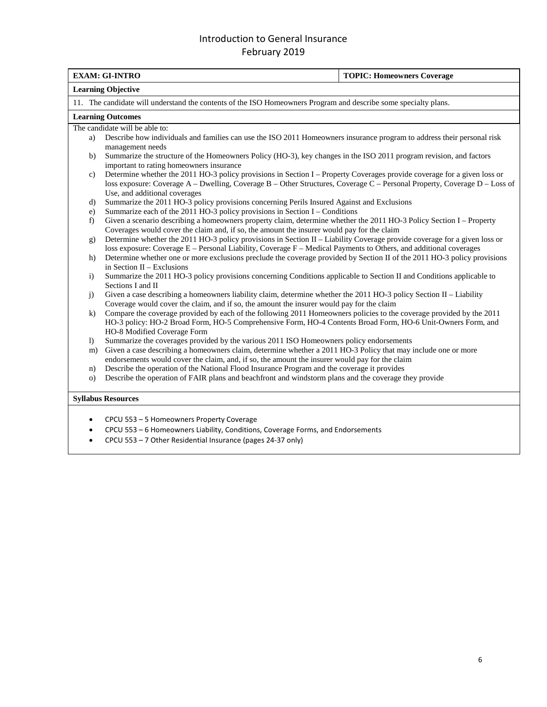|                                                                                                                                                                                                                                                | <b>EXAM: GI-INTRO</b><br><b>TOPIC: Homeowners Coverage</b>                                                                      |                                                                                                                                                                |  |  |
|------------------------------------------------------------------------------------------------------------------------------------------------------------------------------------------------------------------------------------------------|---------------------------------------------------------------------------------------------------------------------------------|----------------------------------------------------------------------------------------------------------------------------------------------------------------|--|--|
|                                                                                                                                                                                                                                                |                                                                                                                                 | <b>Learning Objective</b>                                                                                                                                      |  |  |
|                                                                                                                                                                                                                                                |                                                                                                                                 | 11. The candidate will understand the contents of the ISO Homeowners Program and describe some specialty plans.                                                |  |  |
|                                                                                                                                                                                                                                                |                                                                                                                                 | <b>Learning Outcomes</b>                                                                                                                                       |  |  |
|                                                                                                                                                                                                                                                |                                                                                                                                 | The candidate will be able to:                                                                                                                                 |  |  |
|                                                                                                                                                                                                                                                | a)                                                                                                                              | Describe how individuals and families can use the ISO 2011 Homeowners insurance program to address their personal risk<br>management needs                     |  |  |
|                                                                                                                                                                                                                                                | b)                                                                                                                              | Summarize the structure of the Homeowners Policy (HO-3), key changes in the ISO 2011 program revision, and factors<br>important to rating homeowners insurance |  |  |
|                                                                                                                                                                                                                                                | $\mathbf{c}$                                                                                                                    | Determine whether the 2011 HO-3 policy provisions in Section I – Property Coverages provide coverage for a given loss or                                       |  |  |
|                                                                                                                                                                                                                                                |                                                                                                                                 | loss exposure: Coverage A – Dwelling, Coverage B – Other Structures, Coverage C – Personal Property, Coverage D – Loss of                                      |  |  |
|                                                                                                                                                                                                                                                |                                                                                                                                 | Use, and additional coverages                                                                                                                                  |  |  |
|                                                                                                                                                                                                                                                | $\mathbf{d}$                                                                                                                    | Summarize the 2011 HO-3 policy provisions concerning Perils Insured Against and Exclusions                                                                     |  |  |
|                                                                                                                                                                                                                                                | $\epsilon$ )                                                                                                                    | Summarize each of the $2011$ HO-3 policy provisions in Section I – Conditions                                                                                  |  |  |
|                                                                                                                                                                                                                                                | f)                                                                                                                              | Given a scenario describing a homeowners property claim, determine whether the 2011 HO-3 Policy Section I – Property                                           |  |  |
|                                                                                                                                                                                                                                                |                                                                                                                                 | Coverages would cover the claim and, if so, the amount the insurer would pay for the claim                                                                     |  |  |
|                                                                                                                                                                                                                                                | Determine whether the 2011 HO-3 policy provisions in Section II – Liability Coverage provide coverage for a given loss or<br>g) |                                                                                                                                                                |  |  |
|                                                                                                                                                                                                                                                | loss exposure: Coverage E – Personal Liability, Coverage F – Medical Payments to Others, and additional coverages               |                                                                                                                                                                |  |  |
|                                                                                                                                                                                                                                                | h)                                                                                                                              | Determine whether one or more exclusions preclude the coverage provided by Section II of the 2011 HO-3 policy provisions<br>in Section $II$ – Exclusions       |  |  |
|                                                                                                                                                                                                                                                | $\mathbf{i}$                                                                                                                    | Summarize the 2011 HO-3 policy provisions concerning Conditions applicable to Section II and Conditions applicable to                                          |  |  |
|                                                                                                                                                                                                                                                |                                                                                                                                 | Sections I and II                                                                                                                                              |  |  |
|                                                                                                                                                                                                                                                | j)                                                                                                                              | Given a case describing a homeowners liability claim, determine whether the 2011 HO-3 policy Section II - Liability                                            |  |  |
|                                                                                                                                                                                                                                                |                                                                                                                                 | Coverage would cover the claim, and if so, the amount the insurer would pay for the claim                                                                      |  |  |
| Compare the coverage provided by each of the following 2011 Homeowners policies to the coverage provided by the 2011<br>$\bf k$<br>HO-3 policy: HO-2 Broad Form, HO-5 Comprehensive Form, HO-4 Contents Broad Form, HO-6 Unit-Owners Form, and |                                                                                                                                 |                                                                                                                                                                |  |  |
|                                                                                                                                                                                                                                                |                                                                                                                                 |                                                                                                                                                                |  |  |
|                                                                                                                                                                                                                                                |                                                                                                                                 | HO-8 Modified Coverage Form                                                                                                                                    |  |  |
|                                                                                                                                                                                                                                                | Summarize the coverages provided by the various 2011 ISO Homeowners policy endorsements<br>$\bf{I}$                             |                                                                                                                                                                |  |  |
|                                                                                                                                                                                                                                                | m)                                                                                                                              | Given a case describing a homeowners claim, determine whether a 2011 HO-3 Policy that may include one or more                                                  |  |  |
|                                                                                                                                                                                                                                                |                                                                                                                                 | endorsements would cover the claim, and, if so, the amount the insurer would pay for the claim                                                                 |  |  |
|                                                                                                                                                                                                                                                | n)                                                                                                                              | Describe the operation of the National Flood Insurance Program and the coverage it provides                                                                    |  |  |
|                                                                                                                                                                                                                                                | $\circ$ )                                                                                                                       | Describe the operation of FAIR plans and beachfront and windstorm plans and the coverage they provide                                                          |  |  |
|                                                                                                                                                                                                                                                |                                                                                                                                 | <b>Syllabus Resources</b>                                                                                                                                      |  |  |
|                                                                                                                                                                                                                                                | ٠                                                                                                                               | CPCU 553 - 5 Homeowners Property Coverage                                                                                                                      |  |  |
|                                                                                                                                                                                                                                                | $\bullet$                                                                                                                       | CPCU 553 - 6 Homeowners Liability, Conditions, Coverage Forms, and Endorsements                                                                                |  |  |
|                                                                                                                                                                                                                                                | CPCU 553 - 7 Other Residential Insurance (pages 24-37 only)<br>$\bullet$                                                        |                                                                                                                                                                |  |  |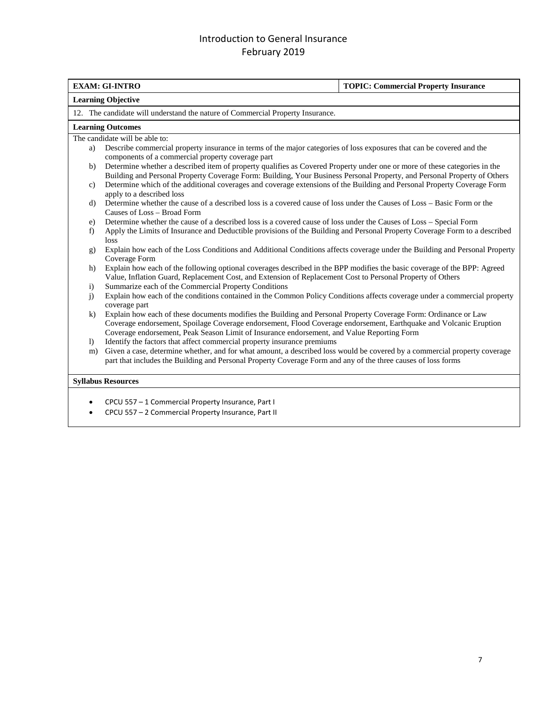|                | <b>EXAM: GI-INTRO</b>                                                                                                                                                                                                                                                                                                              | <b>TOPIC: Commercial Property Insurance</b> |  |
|----------------|------------------------------------------------------------------------------------------------------------------------------------------------------------------------------------------------------------------------------------------------------------------------------------------------------------------------------------|---------------------------------------------|--|
|                | <b>Learning Objective</b>                                                                                                                                                                                                                                                                                                          |                                             |  |
|                | 12. The candidate will understand the nature of Commercial Property Insurance.                                                                                                                                                                                                                                                     |                                             |  |
|                | <b>Learning Outcomes</b>                                                                                                                                                                                                                                                                                                           |                                             |  |
|                | The candidate will be able to:                                                                                                                                                                                                                                                                                                     |                                             |  |
| a)             | Describe commercial property insurance in terms of the major categories of loss exposures that can be covered and the<br>components of a commercial property coverage part                                                                                                                                                         |                                             |  |
| b)             | Determine whether a described item of property qualifies as Covered Property under one or more of these categories in the<br>Building and Personal Property Coverage Form: Building, Your Business Personal Property, and Personal Property of Others                                                                              |                                             |  |
| $\mathbf{c})$  | Determine which of the additional coverages and coverage extensions of the Building and Personal Property Coverage Form<br>apply to a described loss                                                                                                                                                                               |                                             |  |
| $\mathbf{d}$   | Determine whether the cause of a described loss is a covered cause of loss under the Causes of Loss – Basic Form or the<br>Causes of Loss - Broad Form                                                                                                                                                                             |                                             |  |
| e)             | Determine whether the cause of a described loss is a covered cause of loss under the Causes of Loss - Special Form                                                                                                                                                                                                                 |                                             |  |
| f)             | Apply the Limits of Insurance and Deductible provisions of the Building and Personal Property Coverage Form to a described<br>loss                                                                                                                                                                                                 |                                             |  |
| g)             | Explain how each of the Loss Conditions and Additional Conditions affects coverage under the Building and Personal Property<br>Coverage Form                                                                                                                                                                                       |                                             |  |
| h)             | Explain how each of the following optional coverages described in the BPP modifies the basic coverage of the BPP: Agreed<br>Value, Inflation Guard, Replacement Cost, and Extension of Replacement Cost to Personal Property of Others                                                                                             |                                             |  |
| $\mathbf{i}$   | Summarize each of the Commercial Property Conditions                                                                                                                                                                                                                                                                               |                                             |  |
| $\overline{1}$ | Explain how each of the conditions contained in the Common Policy Conditions affects coverage under a commercial property<br>coverage part                                                                                                                                                                                         |                                             |  |
| $\bf k$        | Explain how each of these documents modifies the Building and Personal Property Coverage Form: Ordinance or Law<br>Coverage endorsement, Spoilage Coverage endorsement, Flood Coverage endorsement, Earthquake and Volcanic Eruption<br>Coverage endorsement, Peak Season Limit of Insurance endorsement, and Value Reporting Form |                                             |  |
| $\bf{I}$       | Identify the factors that affect commercial property insurance premiums                                                                                                                                                                                                                                                            |                                             |  |
| m)             | Given a case, determine whether, and for what amount, a described loss would be covered by a commercial property coverage<br>part that includes the Building and Personal Property Coverage Form and any of the three causes of loss forms                                                                                         |                                             |  |
|                | <b>Syllabus Resources</b>                                                                                                                                                                                                                                                                                                          |                                             |  |
|                |                                                                                                                                                                                                                                                                                                                                    |                                             |  |
|                |                                                                                                                                                                                                                                                                                                                                    |                                             |  |

- CPCU 557 1 Commercial Property Insurance, Part I
- CPCU 557 2 Commercial Property Insurance, Part II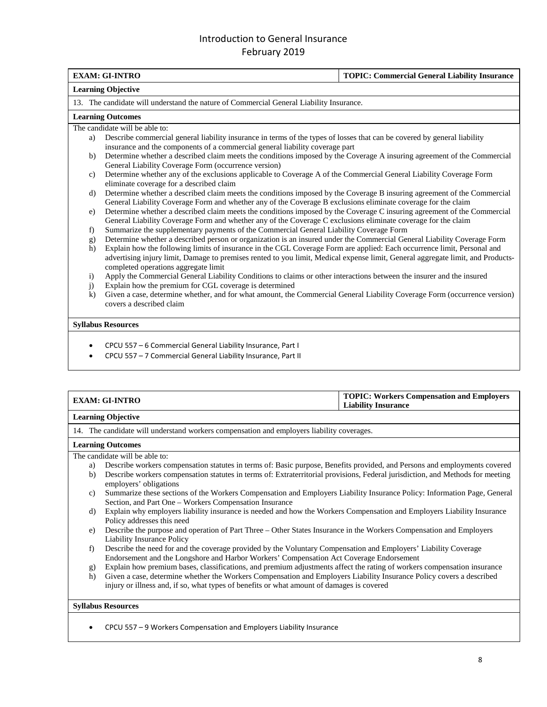|                           | <b>EXAM: GI-INTRO</b>                                                                                                                                                   | <b>TOPIC: Commercial General Liability Insurance</b> |
|---------------------------|-------------------------------------------------------------------------------------------------------------------------------------------------------------------------|------------------------------------------------------|
| <b>Learning Objective</b> |                                                                                                                                                                         |                                                      |
|                           | 13. The candidate will understand the nature of Commercial General Liability Insurance.                                                                                 |                                                      |
|                           | <b>Learning Outcomes</b>                                                                                                                                                |                                                      |
|                           | The candidate will be able to:                                                                                                                                          |                                                      |
| a)                        | Describe commercial general liability insurance in terms of the types of losses that can be covered by general liability                                                |                                                      |
|                           | insurance and the components of a commercial general liability coverage part                                                                                            |                                                      |
| b)                        | Determine whether a described claim meets the conditions imposed by the Coverage A insuring agreement of the Commercial                                                 |                                                      |
|                           | General Liability Coverage Form (occurrence version)                                                                                                                    |                                                      |
| c)                        | Determine whether any of the exclusions applicable to Coverage A of the Commercial General Liability Coverage Form                                                      |                                                      |
|                           | eliminate coverage for a described claim                                                                                                                                |                                                      |
| d)                        | Determine whether a described claim meets the conditions imposed by the Coverage B insuring agreement of the Commercial                                                 |                                                      |
|                           | General Liability Coverage Form and whether any of the Coverage B exclusions eliminate coverage for the claim                                                           |                                                      |
| e)                        | Determine whether a described claim meets the conditions imposed by the Coverage C insuring agreement of the Commercial                                                 |                                                      |
|                           | General Liability Coverage Form and whether any of the Coverage C exclusions eliminate coverage for the claim                                                           |                                                      |
| f                         | Summarize the supplementary payments of the Commercial General Liability Coverage Form                                                                                  |                                                      |
| g)                        | Determine whether a described person or organization is an insured under the Commercial General Liability Coverage Form                                                 |                                                      |
| h)                        | Explain how the following limits of insurance in the CGL Coverage Form are applied: Each occurrence limit, Personal and                                                 |                                                      |
|                           | advertising injury limit, Damage to premises rented to you limit, Medical expense limit, General aggregate limit, and Products-<br>completed operations aggregate limit |                                                      |
|                           | Apply the Commercial General Liability Conditions to claims or other interactions between the insurer and the insured<br>$\mathbf{i}$                                   |                                                      |
| j)                        | Explain how the premium for CGL coverage is determined                                                                                                                  |                                                      |
| $\bf k$                   | Given a case, determine whether, and for what amount, the Commercial General Liability Coverage Form (occurrence version)                                               |                                                      |
|                           | covers a described claim                                                                                                                                                |                                                      |
|                           |                                                                                                                                                                         |                                                      |
|                           | <b>Syllabus Resources</b>                                                                                                                                               |                                                      |
|                           |                                                                                                                                                                         |                                                      |
|                           | CPCU 557 - 6 Commercial General Liability Insurance, Part I                                                                                                             |                                                      |
|                           | CPCU 557 - 7 Commercial General Liability Insurance, Part II                                                                                                            |                                                      |

| <b>EXAM: GI-INTRO</b>     | <b>TOPIC: Workers Compensation and Employers</b><br><b>Liability Insurance</b> |
|---------------------------|--------------------------------------------------------------------------------|
| <b>Learning Objective</b> |                                                                                |

#### 14. The candidate will understand workers compensation and employers liability coverages.

#### **Learning Outcomes**

The candidate will be able to:

- a) Describe workers compensation statutes in terms of: Basic purpose, Benefits provided, and Persons and employments covered
- b) Describe workers compensation statutes in terms of: Extraterritorial provisions, Federal jurisdiction, and Methods for meeting employers' obligations
- c) Summarize these sections of the Workers Compensation and Employers Liability Insurance Policy: Information Page, General Section, and Part One – Workers Compensation Insurance
- d) Explain why employers liability insurance is needed and how the Workers Compensation and Employers Liability Insurance Policy addresses this need
- e) Describe the purpose and operation of Part Three Other States Insurance in the Workers Compensation and Employers Liability Insurance Policy
- f) Describe the need for and the coverage provided by the Voluntary Compensation and Employers' Liability Coverage Endorsement and the Longshore and Harbor Workers' Compensation Act Coverage Endorsement
- g) Explain how premium bases, classifications, and premium adjustments affect the rating of workers compensation insurance
- h) Given a case, determine whether the Workers Compensation and Employers Liability Insurance Policy covers a described injury or illness and, if so, what types of benefits or what amount of damages is covered

#### **Syllabus Resources**

• CPCU 557 – 9 Workers Compensation and Employers Liability Insurance